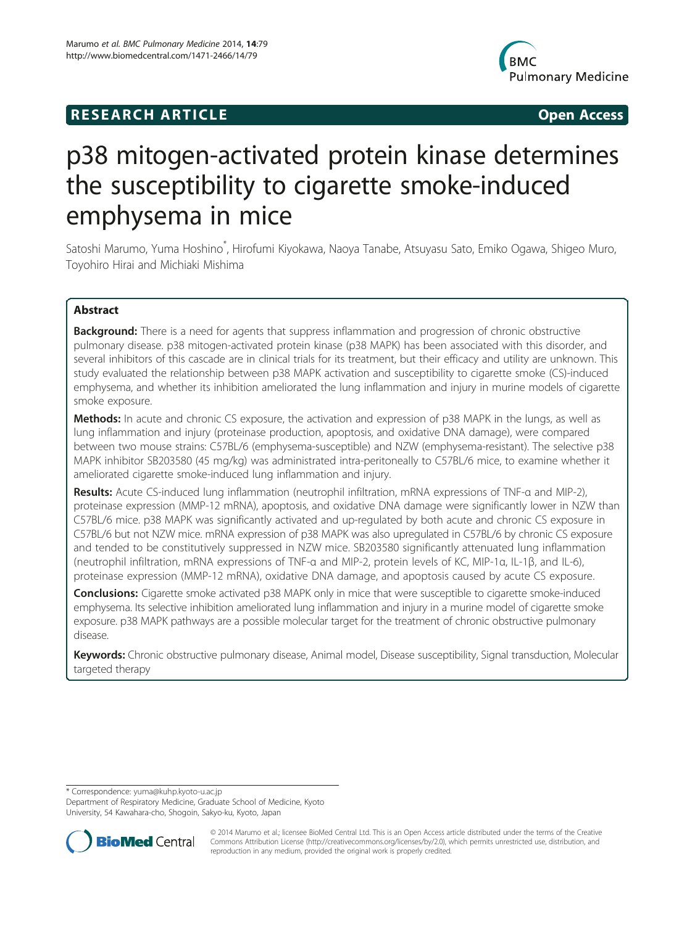# **RESEARCH ARTICLE Example 2014 12:30 The SEAR CHA RESEARCH ARTICLE**



# p38 mitogen-activated protein kinase determines the susceptibility to cigarette smoke-induced emphysema in mice

Satoshi Marumo, Yuma Hoshino<sup>\*</sup>, Hirofumi Kiyokawa, Naoya Tanabe, Atsuyasu Sato, Emiko Ogawa, Shigeo Muro, Toyohiro Hirai and Michiaki Mishima

# Abstract

**Background:** There is a need for agents that suppress inflammation and progression of chronic obstructive pulmonary disease. p38 mitogen-activated protein kinase (p38 MAPK) has been associated with this disorder, and several inhibitors of this cascade are in clinical trials for its treatment, but their efficacy and utility are unknown. This study evaluated the relationship between p38 MAPK activation and susceptibility to cigarette smoke (CS)-induced emphysema, and whether its inhibition ameliorated the lung inflammation and injury in murine models of cigarette smoke exposure.

Methods: In acute and chronic CS exposure, the activation and expression of p38 MAPK in the lungs, as well as lung inflammation and injury (proteinase production, apoptosis, and oxidative DNA damage), were compared between two mouse strains: C57BL/6 (emphysema-susceptible) and NZW (emphysema-resistant). The selective p38 MAPK inhibitor SB203580 (45 mg/kg) was administrated intra-peritoneally to C57BL/6 mice, to examine whether it ameliorated cigarette smoke-induced lung inflammation and injury.

Results: Acute CS-induced lung inflammation (neutrophil infiltration, mRNA expressions of TNF-α and MIP-2), proteinase expression (MMP-12 mRNA), apoptosis, and oxidative DNA damage were significantly lower in NZW than C57BL/6 mice. p38 MAPK was significantly activated and up-regulated by both acute and chronic CS exposure in C57BL/6 but not NZW mice. mRNA expression of p38 MAPK was also upregulated in C57BL/6 by chronic CS exposure and tended to be constitutively suppressed in NZW mice. SB203580 significantly attenuated lung inflammation (neutrophil infiltration, mRNA expressions of TNF-α and MIP-2, protein levels of KC, MIP-1α, IL-1β, and IL-6), proteinase expression (MMP-12 mRNA), oxidative DNA damage, and apoptosis caused by acute CS exposure.

**Conclusions:** Cigarette smoke activated p38 MAPK only in mice that were susceptible to cigarette smoke-induced emphysema. Its selective inhibition ameliorated lung inflammation and injury in a murine model of cigarette smoke exposure. p38 MAPK pathways are a possible molecular target for the treatment of chronic obstructive pulmonary disease.

Keywords: Chronic obstructive pulmonary disease, Animal model, Disease susceptibility, Signal transduction, Molecular targeted therapy

\* Correspondence: [yuma@kuhp.kyoto-u.ac.jp](mailto:yuma@kuhp.kyoto-u.ac.jp)

Department of Respiratory Medicine, Graduate School of Medicine, Kyoto University, 54 Kawahara-cho, Shogoin, Sakyo-ku, Kyoto, Japan



© 2014 Marumo et al.; licensee BioMed Central Ltd. This is an Open Access article distributed under the terms of the Creative Commons Attribution License [\(http://creativecommons.org/licenses/by/2.0\)](http://creativecommons.org/licenses/by/2.0), which permits unrestricted use, distribution, and reproduction in any medium, provided the original work is properly credited.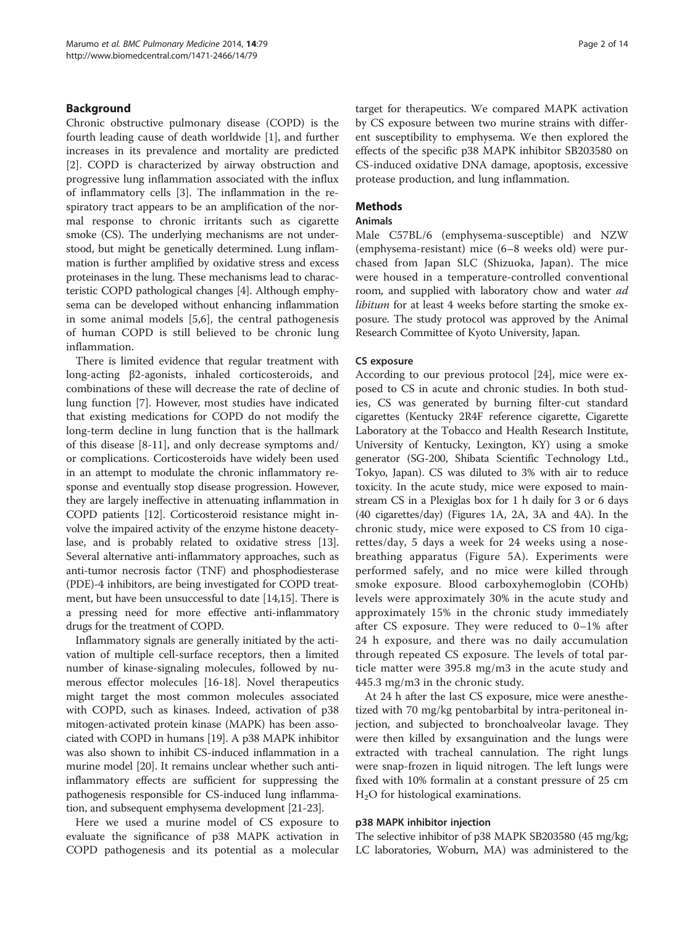#### Background

Chronic obstructive pulmonary disease (COPD) is the fourth leading cause of death worldwide [\[1\]](#page-12-0), and further increases in its prevalence and mortality are predicted [[2\]](#page-12-0). COPD is characterized by airway obstruction and progressive lung inflammation associated with the influx of inflammatory cells [\[3\]](#page-12-0). The inflammation in the respiratory tract appears to be an amplification of the normal response to chronic irritants such as cigarette smoke (CS). The underlying mechanisms are not understood, but might be genetically determined. Lung inflammation is further amplified by oxidative stress and excess proteinases in the lung. These mechanisms lead to characteristic COPD pathological changes [\[4\]](#page-12-0). Although emphysema can be developed without enhancing inflammation in some animal models [[5,6](#page-12-0)], the central pathogenesis of human COPD is still believed to be chronic lung inflammation.

There is limited evidence that regular treatment with long-acting β2-agonists, inhaled corticosteroids, and combinations of these will decrease the rate of decline of lung function [[7](#page-12-0)]. However, most studies have indicated that existing medications for COPD do not modify the long-term decline in lung function that is the hallmark of this disease [[8-11\]](#page-12-0), and only decrease symptoms and/ or complications. Corticosteroids have widely been used in an attempt to modulate the chronic inflammatory response and eventually stop disease progression. However, they are largely ineffective in attenuating inflammation in COPD patients [[12](#page-12-0)]. Corticosteroid resistance might involve the impaired activity of the enzyme histone deacetylase, and is probably related to oxidative stress [[13](#page-12-0)]. Several alternative anti-inflammatory approaches, such as anti-tumor necrosis factor (TNF) and phosphodiesterase (PDE)-4 inhibitors, are being investigated for COPD treatment, but have been unsuccessful to date [\[14,15\]](#page-12-0). There is a pressing need for more effective anti-inflammatory drugs for the treatment of COPD.

Inflammatory signals are generally initiated by the activation of multiple cell-surface receptors, then a limited number of kinase-signaling molecules, followed by numerous effector molecules [[16-18\]](#page-12-0). Novel therapeutics might target the most common molecules associated with COPD, such as kinases. Indeed, activation of p38 mitogen-activated protein kinase (MAPK) has been associated with COPD in humans [[19](#page-12-0)]. A p38 MAPK inhibitor was also shown to inhibit CS-induced inflammation in a murine model [\[20\]](#page-12-0). It remains unclear whether such antiinflammatory effects are sufficient for suppressing the pathogenesis responsible for CS-induced lung inflammation, and subsequent emphysema development [[21-23\]](#page-12-0).

Here we used a murine model of CS exposure to evaluate the significance of p38 MAPK activation in COPD pathogenesis and its potential as a molecular target for therapeutics. We compared MAPK activation by CS exposure between two murine strains with different susceptibility to emphysema. We then explored the effects of the specific p38 MAPK inhibitor SB203580 on CS-induced oxidative DNA damage, apoptosis, excessive protease production, and lung inflammation.

#### Methods

# Animals

Male C57BL/6 (emphysema-susceptible) and NZW (emphysema-resistant) mice (6–8 weeks old) were purchased from Japan SLC (Shizuoka, Japan). The mice were housed in a temperature-controlled conventional room, and supplied with laboratory chow and water ad libitum for at least 4 weeks before starting the smoke exposure. The study protocol was approved by the Animal Research Committee of Kyoto University, Japan.

#### CS exposure

According to our previous protocol [[24](#page-12-0)], mice were exposed to CS in acute and chronic studies. In both studies, CS was generated by burning filter-cut standard cigarettes (Kentucky 2R4F reference cigarette, Cigarette Laboratory at the Tobacco and Health Research Institute, University of Kentucky, Lexington, KY) using a smoke generator (SG-200, Shibata Scientific Technology Ltd., Tokyo, Japan). CS was diluted to 3% with air to reduce toxicity. In the acute study, mice were exposed to mainstream CS in a Plexiglas box for 1 h daily for 3 or 6 days (40 cigarettes/day) (Figures [1](#page-3-0)A, [2](#page-5-0)A, [3A](#page-7-0) and [4A](#page-7-0)). In the chronic study, mice were exposed to CS from 10 cigarettes/day, 5 days a week for 24 weeks using a nosebreathing apparatus (Figure [5](#page-8-0)A). Experiments were performed safely, and no mice were killed through smoke exposure. Blood carboxyhemoglobin (COHb) levels were approximately 30% in the acute study and approximately 15% in the chronic study immediately after CS exposure. They were reduced to 0–1% after 24 h exposure, and there was no daily accumulation through repeated CS exposure. The levels of total particle matter were 395.8 mg/m3 in the acute study and 445.3 mg/m3 in the chronic study.

At 24 h after the last CS exposure, mice were anesthetized with 70 mg/kg pentobarbital by intra-peritoneal injection, and subjected to bronchoalveolar lavage. They were then killed by exsanguination and the lungs were extracted with tracheal cannulation. The right lungs were snap-frozen in liquid nitrogen. The left lungs were fixed with 10% formalin at a constant pressure of 25 cm  $H<sub>2</sub>O$  for histological examinations.

#### p38 MAPK inhibitor injection

The selective inhibitor of p38 MAPK SB203580 (45 mg/kg; LC laboratories, Woburn, MA) was administered to the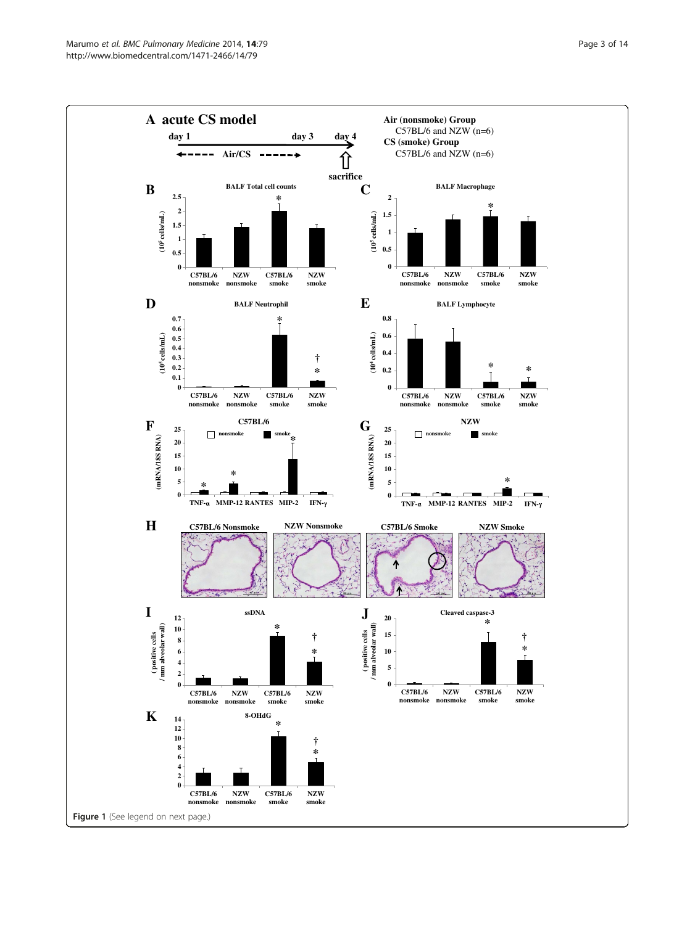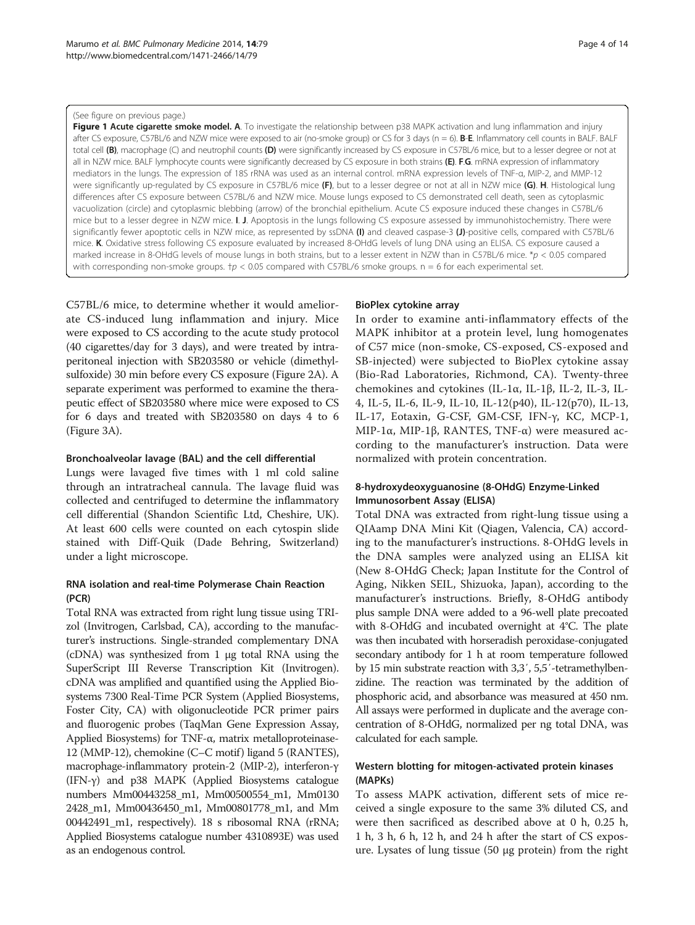#### <span id="page-3-0"></span>(See figure on previous page.)

Figure 1 Acute cigarette smoke model. A. To investigate the relationship between p38 MAPK activation and lung inflammation and injury after CS exposure, C57BL/6 and NZW mice were exposed to air (no-smoke group) or CS for 3 days ( $n = 6$ ). **B-E**. Inflammatory cell counts in BALF. BALF total cell (B), macrophage (C) and neutrophil counts (D) were significantly increased by CS exposure in C57BL/6 mice, but to a lesser degree or not at all in NZW mice. BALF lymphocyte counts were significantly decreased by CS exposure in both strains (E). F.G. mRNA expression of inflammatory mediators in the lungs. The expression of 18S rRNA was used as an internal control. mRNA expression levels of TNF-α, MIP-2, and MMP-12 were significantly up-regulated by CS exposure in C57BL/6 mice (F), but to a lesser degree or not at all in NZW mice (G). H. Histological lung differences after CS exposure between C57BL/6 and NZW mice. Mouse lungs exposed to CS demonstrated cell death, seen as cytoplasmic vacuolization (circle) and cytoplasmic blebbing (arrow) of the bronchial epithelium. Acute CS exposure induced these changes in C57BL/6 mice but to a lesser degree in NZW mice. I. J. Apoptosis in the lungs following CS exposure assessed by immunohistochemistry. There were significantly fewer apoptotic cells in NZW mice, as represented by ssDNA (I) and cleaved caspase-3 (J)-positive cells, compared with C57BL/6 mice. K. Oxidative stress following CS exposure evaluated by increased 8-OHdG levels of lung DNA using an ELISA. CS exposure caused a marked increase in 8-OHdG levels of mouse lungs in both strains, but to a lesser extent in NZW than in C57BL/6 mice. \*p < 0.05 compared with corresponding non-smoke groups.  $tp < 0.05$  compared with C57BL/6 smoke groups.  $n = 6$  for each experimental set.

C57BL/6 mice, to determine whether it would ameliorate CS-induced lung inflammation and injury. Mice were exposed to CS according to the acute study protocol (40 cigarettes/day for 3 days), and were treated by intraperitoneal injection with SB203580 or vehicle (dimethylsulfoxide) 30 min before every CS exposure (Figure [2](#page-5-0)A). A separate experiment was performed to examine the therapeutic effect of SB203580 where mice were exposed to CS for 6 days and treated with SB203580 on days 4 to 6 (Figure [3](#page-7-0)A).

#### Bronchoalveolar lavage (BAL) and the cell differential

Lungs were lavaged five times with 1 ml cold saline through an intratracheal cannula. The lavage fluid was collected and centrifuged to determine the inflammatory cell differential (Shandon Scientific Ltd, Cheshire, UK). At least 600 cells were counted on each cytospin slide stained with Diff-Quik (Dade Behring, Switzerland) under a light microscope.

# RNA isolation and real-time Polymerase Chain Reaction (PCR)

Total RNA was extracted from right lung tissue using TRIzol (Invitrogen, Carlsbad, CA), according to the manufacturer's instructions. Single-stranded complementary DNA (cDNA) was synthesized from 1 μg total RNA using the SuperScript III Reverse Transcription Kit (Invitrogen). cDNA was amplified and quantified using the Applied Biosystems 7300 Real-Time PCR System (Applied Biosystems, Foster City, CA) with oligonucleotide PCR primer pairs and fluorogenic probes (TaqMan Gene Expression Assay, Applied Biosystems) for TNF-α, matrix metalloproteinase-12 (MMP-12), chemokine (C–C motif) ligand 5 (RANTES), macrophage-inflammatory protein-2 (MIP-2), interferon-γ (IFN-γ) and p38 MAPK (Applied Biosystems catalogue numbers Mm00443258\_m1, Mm00500554\_m1, Mm0130 2428\_m1, Mm00436450\_m1, Mm00801778\_m1, and Mm 00442491\_m1, respectively). 18 s ribosomal RNA (rRNA; Applied Biosystems catalogue number 4310893E) was used as an endogenous control.

#### BioPlex cytokine array

In order to examine anti-inflammatory effects of the MAPK inhibitor at a protein level, lung homogenates of C57 mice (non-smoke, CS-exposed, CS-exposed and SB-injected) were subjected to BioPlex cytokine assay (Bio-Rad Laboratories, Richmond, CA). Twenty-three chemokines and cytokines (IL-1α, IL-1β, IL-2, IL-3, IL-4, IL-5, IL-6, IL-9, IL-10, IL-12(p40), IL-12(p70), IL-13, IL-17, Eotaxin, G-CSF, GM-CSF, IFN-γ, KC, MCP-1, MIP-1α, MIP-1β, RANTES, TNF-α) were measured according to the manufacturer's instruction. Data were normalized with protein concentration.

# 8-hydroxydeoxyguanosine (8-OHdG) Enzyme-Linked Immunosorbent Assay (ELISA)

Total DNA was extracted from right-lung tissue using a QIAamp DNA Mini Kit (Qiagen, Valencia, CA) according to the manufacturer's instructions. 8-OHdG levels in the DNA samples were analyzed using an ELISA kit (New 8-OHdG Check; Japan Institute for the Control of Aging, Nikken SEIL, Shizuoka, Japan), according to the manufacturer's instructions. Briefly, 8-OHdG antibody plus sample DNA were added to a 96-well plate precoated with 8-OHdG and incubated overnight at 4°C. The plate was then incubated with horseradish peroxidase-conjugated secondary antibody for 1 h at room temperature followed by 15 min substrate reaction with 3,3′, 5,5′-tetramethylbenzidine. The reaction was terminated by the addition of phosphoric acid, and absorbance was measured at 450 nm. All assays were performed in duplicate and the average concentration of 8-OHdG, normalized per ng total DNA, was calculated for each sample.

# Western blotting for mitogen-activated protein kinases (MAPKs)

To assess MAPK activation, different sets of mice received a single exposure to the same 3% diluted CS, and were then sacrificed as described above at 0 h, 0.25 h, 1 h, 3 h, 6 h, 12 h, and 24 h after the start of CS exposure. Lysates of lung tissue (50 μg protein) from the right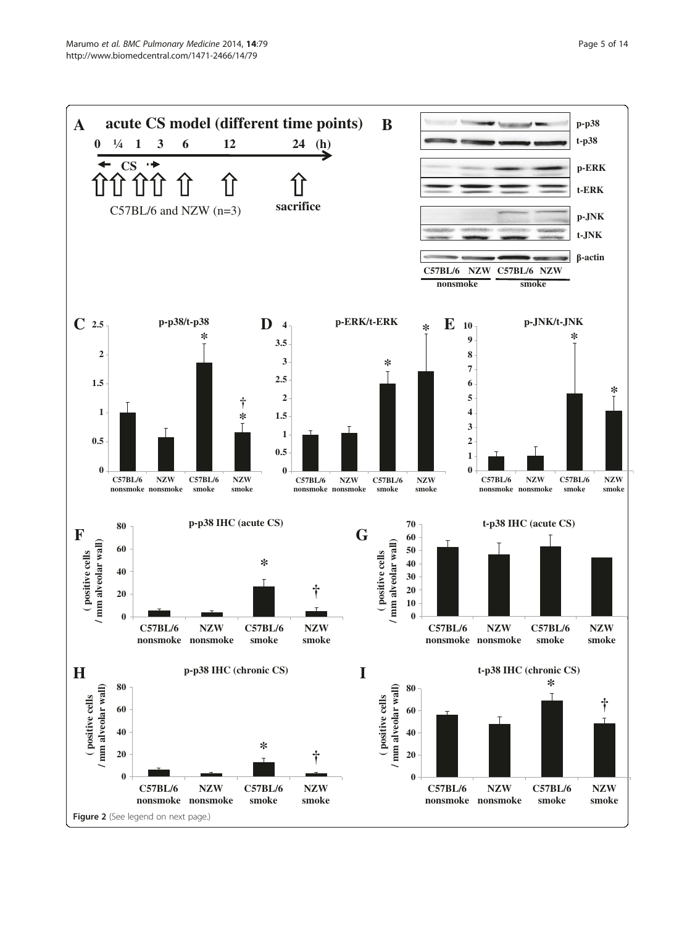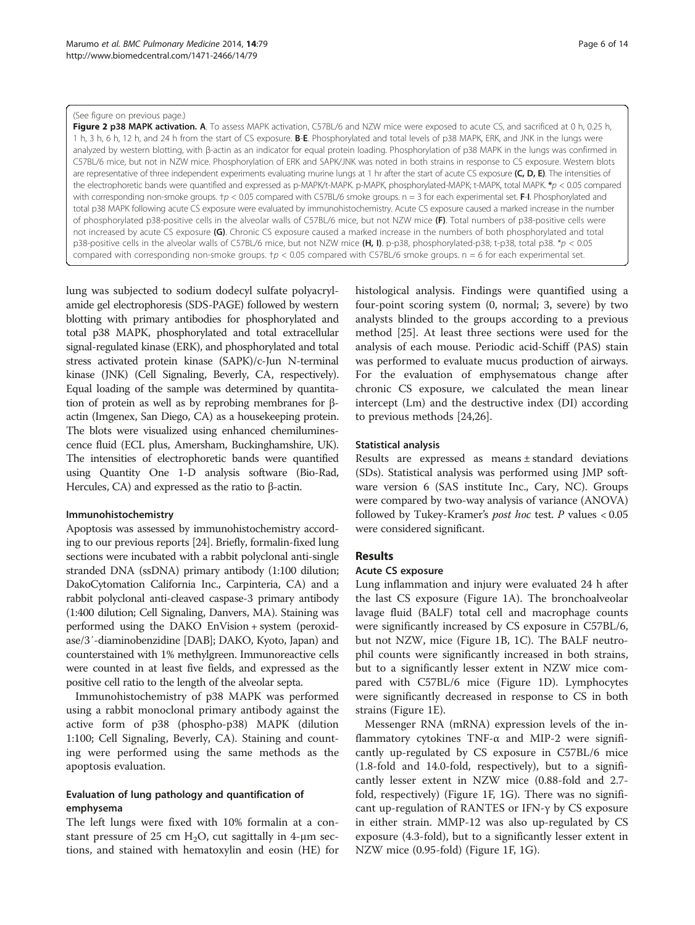#### <span id="page-5-0"></span>(See figure on previous page.)

Figure 2 p38 MAPK activation. A. To assess MAPK activation, C57BL/6 and NZW mice were exposed to acute CS, and sacrificed at 0 h. 0.25 h. 1 h, 3 h, 6 h, 12 h, and 24 h from the start of CS exposure. **B-E**. Phosphorylated and total levels of p38 MAPK, ERK, and JNK in the lungs were analyzed by western blotting, with β-actin as an indicator for equal protein loading. Phosphorylation of p38 MAPK in the lungs was confirmed in C57BL/6 mice, but not in NZW mice. Phosphorylation of ERK and SAPK/JNK was noted in both strains in response to CS exposure. Western blots are representative of three independent experiments evaluating murine lungs at 1 hr after the start of acute CS exposure  $(C, D, E)$ . The intensities of the electrophoretic bands were quantified and expressed as p-MAPK/t-MAPK, p-MAPK, phosphorylated-MAPK; t-MAPK, total MAPK. \*p < 0.05 compared with corresponding non-smoke groups.  $tp < 0.05$  compared with C57BL/6 smoke groups.  $n = 3$  for each experimental set. F-I. Phosphorylated and total p38 MAPK following acute CS exposure were evaluated by immunohistochemistry. Acute CS exposure caused a marked increase in the number of phosphorylated p38-positive cells in the alveolar walls of C57BL/6 mice, but not NZW mice (F). Total numbers of p38-positive cells were not increased by acute CS exposure (G). Chronic CS exposure caused a marked increase in the numbers of both phosphorylated and total p38-positive cells in the alveolar walls of C57BL/6 mice, but not NZW mice (H, I). p-p38, phosphorylated-p38; t-p38, total p38. \*p < 0.05 compared with corresponding non-smoke groups.  $tp < 0.05$  compared with C57BL/6 smoke groups.  $n = 6$  for each experimental set.

lung was subjected to sodium dodecyl sulfate polyacrylamide gel electrophoresis (SDS-PAGE) followed by western blotting with primary antibodies for phosphorylated and total p38 MAPK, phosphorylated and total extracellular signal-regulated kinase (ERK), and phosphorylated and total stress activated protein kinase (SAPK)/c-Jun N-terminal kinase (JNK) (Cell Signaling, Beverly, CA, respectively). Equal loading of the sample was determined by quantitation of protein as well as by reprobing membranes for βactin (Imgenex, San Diego, CA) as a housekeeping protein. The blots were visualized using enhanced chemiluminescence fluid (ECL plus, Amersham, Buckinghamshire, UK). The intensities of electrophoretic bands were quantified using Quantity One 1-D analysis software (Bio-Rad, Hercules, CA) and expressed as the ratio to β-actin.

#### Immunohistochemistry

Apoptosis was assessed by immunohistochemistry according to our previous reports [[24](#page-12-0)]. Briefly, formalin-fixed lung sections were incubated with a rabbit polyclonal anti-single stranded DNA (ssDNA) primary antibody (1:100 dilution; DakoCytomation California Inc., Carpinteria, CA) and a rabbit polyclonal anti-cleaved caspase-3 primary antibody (1:400 dilution; Cell Signaling, Danvers, MA). Staining was performed using the DAKO EnVision + system (peroxidase/3′-diaminobenzidine [DAB]; DAKO, Kyoto, Japan) and counterstained with 1% methylgreen. Immunoreactive cells were counted in at least five fields, and expressed as the positive cell ratio to the length of the alveolar septa.

Immunohistochemistry of p38 MAPK was performed using a rabbit monoclonal primary antibody against the active form of p38 (phospho-p38) MAPK (dilution 1:100; Cell Signaling, Beverly, CA). Staining and counting were performed using the same methods as the apoptosis evaluation.

# Evaluation of lung pathology and quantification of emphysema

The left lungs were fixed with 10% formalin at a constant pressure of 25 cm  $H_2O$ , cut sagittally in 4- $\mu$ m sections, and stained with hematoxylin and eosin (HE) for histological analysis. Findings were quantified using a four-point scoring system (0, normal; 3, severe) by two analysts blinded to the groups according to a previous method [[25](#page-12-0)]. At least three sections were used for the analysis of each mouse. Periodic acid-Schiff (PAS) stain was performed to evaluate mucus production of airways. For the evaluation of emphysematous change after chronic CS exposure, we calculated the mean linear intercept (Lm) and the destructive index (DI) according to previous methods [[24,26\]](#page-12-0).

# Statistical analysis

Results are expressed as means ± standard deviations (SDs). Statistical analysis was performed using JMP software version 6 (SAS institute Inc., Cary, NC). Groups were compared by two-way analysis of variance (ANOVA) followed by Tukey-Kramer's *post hoc* test.  $P$  values  $< 0.05$ were considered significant.

# Results

#### Acute CS exposure

Lung inflammation and injury were evaluated 24 h after the last CS exposure (Figure [1A](#page-3-0)). The bronchoalveolar lavage fluid (BALF) total cell and macrophage counts were significantly increased by CS exposure in C57BL/6, but not NZW, mice (Figure [1](#page-3-0)B, [1](#page-3-0)C). The BALF neutrophil counts were significantly increased in both strains, but to a significantly lesser extent in NZW mice compared with C57BL/6 mice (Figure [1](#page-3-0)D). Lymphocytes were significantly decreased in response to CS in both strains (Figure [1](#page-3-0)E).

Messenger RNA (mRNA) expression levels of the inflammatory cytokines TNF-α and MIP-2 were significantly up-regulated by CS exposure in C57BL/6 mice (1.8-fold and 14.0-fold, respectively), but to a significantly lesser extent in NZW mice (0.88-fold and 2.7 fold, respectively) (Figure [1](#page-3-0)F, [1](#page-3-0)G). There was no significant up-regulation of RANTES or IFN-γ by CS exposure in either strain. MMP-12 was also up-regulated by CS exposure (4.3-fold), but to a significantly lesser extent in NZW mice (0.95-fold) (Figure [1F](#page-3-0), [1](#page-3-0)G).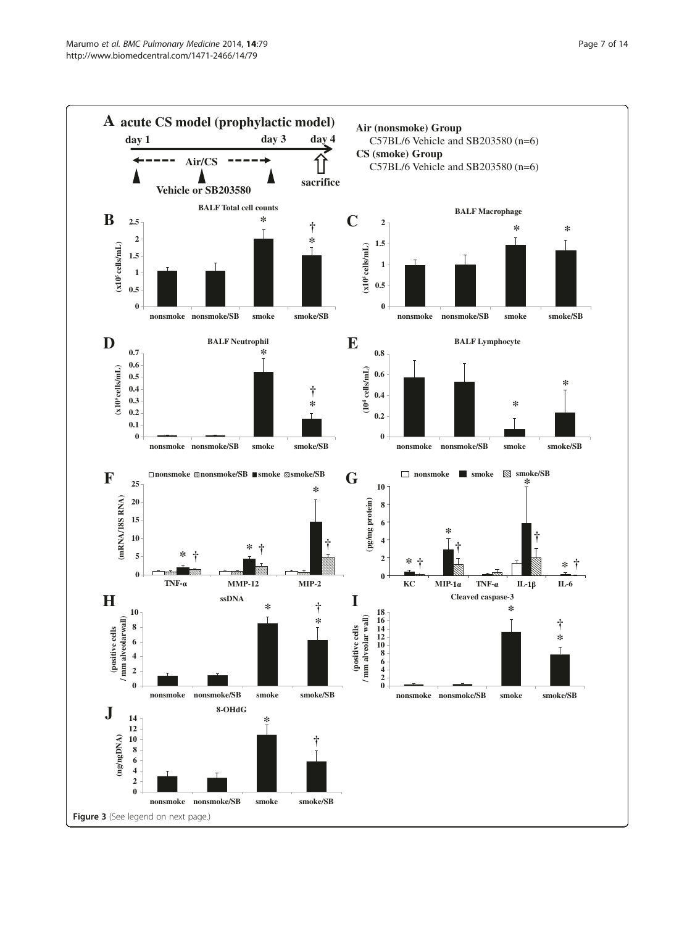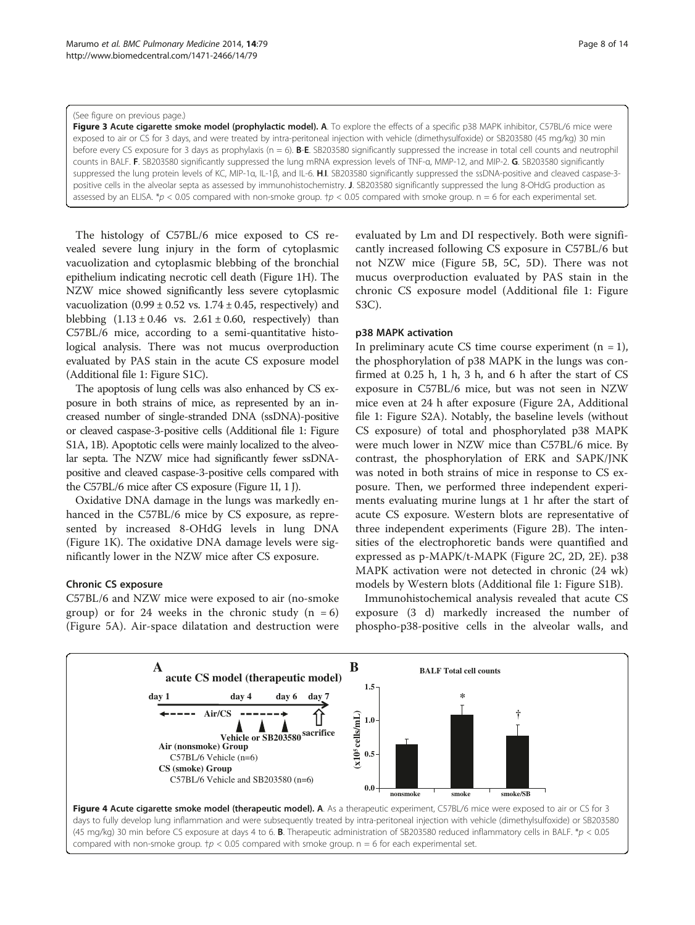#### <span id="page-7-0"></span>(See figure on previous page.)

Figure 3 Acute cigarette smoke model (prophylactic model). A. To explore the effects of a specific p38 MAPK inhibitor, C57BL/6 mice were exposed to air or CS for 3 days, and were treated by intra-peritoneal injection with vehicle (dimethysulfoxide) or SB203580 (45 mg/kg) 30 min before every CS exposure for 3 days as prophylaxis ( $n = 6$ ). B-E. SB203580 significantly suppressed the increase in total cell counts and neutrophil counts in BALF. F. SB203580 significantly suppressed the lung mRNA expression levels of TNF-α, MMP-12, and MIP-2. G. SB203580 significantly suppressed the lung protein levels of KC, MIP-1α, IL-1β, and IL-6. H.I. SB203580 significantly suppressed the ssDNA-positive and cleaved caspase-3 positive cells in the alveolar septa as assessed by immunohistochemistry. J. SB203580 significantly suppressed the lung 8-OHdG production as assessed by an ELISA. \*p < 0.05 compared with non-smoke group.  $tp$  < 0.05 compared with smoke group.  $n = 6$  for each experimental set.

The histology of C57BL/6 mice exposed to CS revealed severe lung injury in the form of cytoplasmic vacuolization and cytoplasmic blebbing of the bronchial epithelium indicating necrotic cell death (Figure [1H](#page-3-0)). The NZW mice showed significantly less severe cytoplasmic vacuolization  $(0.99 \pm 0.52 \text{ vs. } 1.74 \pm 0.45 \text{, respectively})$  and blebbing  $(1.13 \pm 0.46 \text{ vs. } 2.61 \pm 0.60, \text{ respectively})$  than C57BL/6 mice, according to a semi-quantitative histological analysis. There was not mucus overproduction evaluated by PAS stain in the acute CS exposure model (Additional file [1](#page-11-0): Figure S1C).

The apoptosis of lung cells was also enhanced by CS exposure in both strains of mice, as represented by an increased number of single-stranded DNA (ssDNA)-positive or cleaved caspase-3-positive cells (Additional file [1:](#page-11-0) Figure S1A, 1B). Apoptotic cells were mainly localized to the alveolar septa. The NZW mice had significantly fewer ssDNApositive and cleaved caspase-3-positive cells compared with the C57BL/6 mice after CS exposure (Figure [1I](#page-3-0), [1](#page-3-0) J).

Oxidative DNA damage in the lungs was markedly enhanced in the C57BL/6 mice by CS exposure, as represented by increased 8-OHdG levels in lung DNA (Figure [1K](#page-3-0)). The oxidative DNA damage levels were significantly lower in the NZW mice after CS exposure.

# Chronic CS exposure

C57BL/6 and NZW mice were exposed to air (no-smoke group) or for 24 weeks in the chronic study  $(n = 6)$ (Figure [5A](#page-8-0)). Air-space dilatation and destruction were evaluated by Lm and DI respectively. Both were significantly increased following CS exposure in C57BL/6 but not NZW mice (Figure [5](#page-8-0)B, [5C](#page-8-0), [5](#page-8-0)D). There was not mucus overproduction evaluated by PAS stain in the chronic CS exposure model (Additional file [1](#page-11-0): Figure S3C).

#### p38 MAPK activation

In preliminary acute CS time course experiment  $(n = 1)$ , the phosphorylation of p38 MAPK in the lungs was confirmed at 0.25 h, 1 h, 3 h, and 6 h after the start of CS exposure in C57BL/6 mice, but was not seen in NZW mice even at 24 h after exposure (Figure [2A](#page-5-0), Additional file [1:](#page-11-0) Figure S2A). Notably, the baseline levels (without CS exposure) of total and phosphorylated p38 MAPK were much lower in NZW mice than C57BL/6 mice. By contrast, the phosphorylation of ERK and SAPK/JNK was noted in both strains of mice in response to CS exposure. Then, we performed three independent experiments evaluating murine lungs at 1 hr after the start of acute CS exposure. Western blots are representative of three independent experiments (Figure [2B](#page-5-0)). The intensities of the electrophoretic bands were quantified and expressed as p-MAPK/t-MAPK (Figure [2](#page-5-0)C, [2](#page-5-0)D, [2](#page-5-0)E). p38 MAPK activation were not detected in chronic (24 wk) models by Western blots (Additional file [1](#page-11-0): Figure S1B).

Immunohistochemical analysis revealed that acute CS exposure (3 d) markedly increased the number of phospho-p38-positive cells in the alveolar walls, and

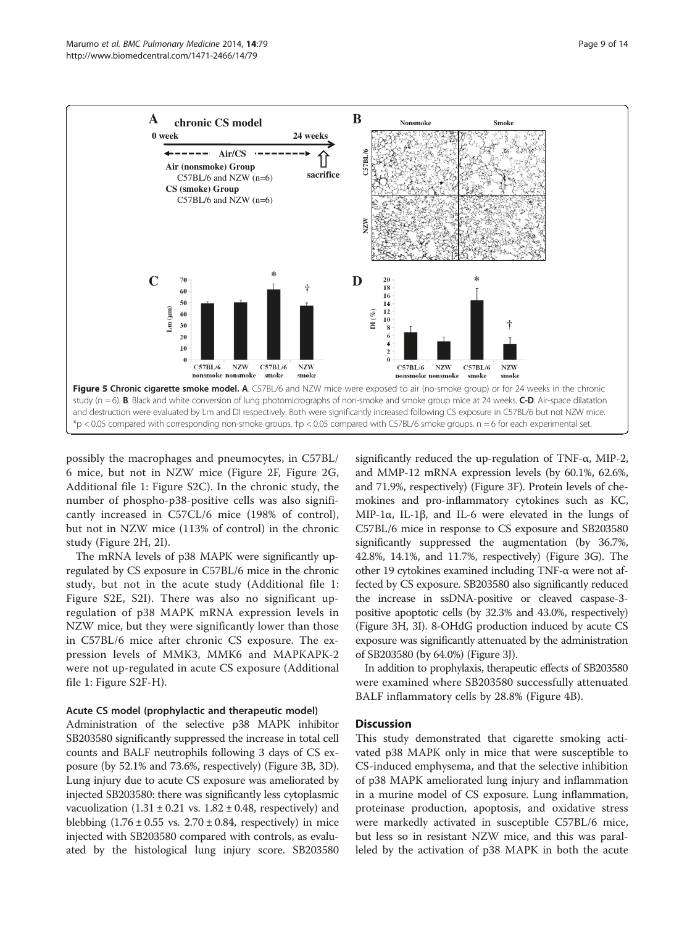<span id="page-8-0"></span>

possibly the macrophages and pneumocytes, in C57BL/ 6 mice, but not in NZW mice (Figure [2](#page-5-0)F, Figure [2](#page-5-0)G, Additional file [1](#page-11-0): Figure S2C). In the chronic study, the number of phospho-p38-positive cells was also significantly increased in C57CL/6 mice (198% of control), but not in NZW mice (113% of control) in the chronic study (Figure [2](#page-5-0)H, [2](#page-5-0)I).

The mRNA levels of p38 MAPK were significantly upregulated by CS exposure in C57BL/6 mice in the chronic study, but not in the acute study (Additional file [1](#page-11-0): Figure S2E, S2I). There was also no significant upregulation of p38 MAPK mRNA expression levels in NZW mice, but they were significantly lower than those in C57BL/6 mice after chronic CS exposure. The expression levels of MMK3, MMK6 and MAPKAPK-2 were not up-regulated in acute CS exposure (Additional file [1](#page-11-0): Figure S2F-H).

#### Acute CS model (prophylactic and therapeutic model)

Administration of the selective p38 MAPK inhibitor SB203580 significantly suppressed the increase in total cell counts and BALF neutrophils following 3 days of CS exposure (by 52.1% and 73.6%, respectively) (Figure [3B](#page-7-0), [3](#page-7-0)D). Lung injury due to acute CS exposure was ameliorated by injected SB203580: there was significantly less cytoplasmic vacuolization  $(1.31 \pm 0.21 \text{ vs. } 1.82 \pm 0.48 \text{, respectively})$  and blebbing  $(1.76 \pm 0.55 \text{ vs. } 2.70 \pm 0.84, \text{ respectively})$  in mice injected with SB203580 compared with controls, as evaluated by the histological lung injury score. SB203580

significantly reduced the up-regulation of TNF-α, MIP-2, and MMP-12 mRNA expression levels (by 60.1%, 62.6%, and 71.9%, respectively) (Figure [3F](#page-7-0)). Protein levels of chemokines and pro-inflammatory cytokines such as KC, MIP-1α, IL-1β, and IL-6 were elevated in the lungs of C57BL/6 mice in response to CS exposure and SB203580 significantly suppressed the augmentation (by 36.7%, 42.8%, 14.1%, and 11.7%, respectively) (Figure [3G](#page-7-0)). The other 19 cytokines examined including TNF-α were not affected by CS exposure. SB203580 also significantly reduced the increase in ssDNA-positive or cleaved caspase-3 positive apoptotic cells (by 32.3% and 43.0%, respectively) (Figure [3H](#page-7-0), [3](#page-7-0)I). 8-OHdG production induced by acute CS exposure was significantly attenuated by the administration of SB203580 (by 64.0%) (Figure [3J](#page-7-0)).

In addition to prophylaxis, therapeutic effects of SB203580 were examined where SB203580 successfully attenuated BALF inflammatory cells by 28.8% (Figure [4B](#page-7-0)).

# **Discussion**

This study demonstrated that cigarette smoking activated p38 MAPK only in mice that were susceptible to CS-induced emphysema, and that the selective inhibition of p38 MAPK ameliorated lung injury and inflammation in a murine model of CS exposure. Lung inflammation, proteinase production, apoptosis, and oxidative stress were markedly activated in susceptible C57BL/6 mice, but less so in resistant NZW mice, and this was paralleled by the activation of p38 MAPK in both the acute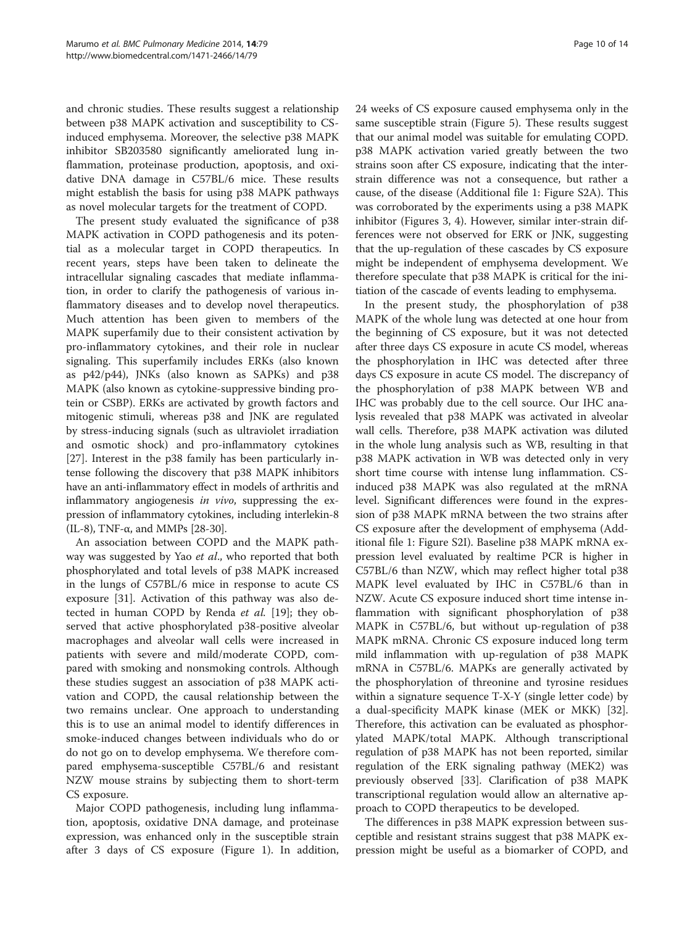and chronic studies. These results suggest a relationship between p38 MAPK activation and susceptibility to CSinduced emphysema. Moreover, the selective p38 MAPK inhibitor SB203580 significantly ameliorated lung inflammation, proteinase production, apoptosis, and oxidative DNA damage in C57BL/6 mice. These results might establish the basis for using p38 MAPK pathways as novel molecular targets for the treatment of COPD.

The present study evaluated the significance of p38 MAPK activation in COPD pathogenesis and its potential as a molecular target in COPD therapeutics. In recent years, steps have been taken to delineate the intracellular signaling cascades that mediate inflammation, in order to clarify the pathogenesis of various inflammatory diseases and to develop novel therapeutics. Much attention has been given to members of the MAPK superfamily due to their consistent activation by pro-inflammatory cytokines, and their role in nuclear signaling. This superfamily includes ERKs (also known as p42/p44), JNKs (also known as SAPKs) and p38 MAPK (also known as cytokine-suppressive binding protein or CSBP). ERKs are activated by growth factors and mitogenic stimuli, whereas p38 and JNK are regulated by stress-inducing signals (such as ultraviolet irradiation and osmotic shock) and pro-inflammatory cytokines [[27\]](#page-12-0). Interest in the p38 family has been particularly intense following the discovery that p38 MAPK inhibitors have an anti-inflammatory effect in models of arthritis and inflammatory angiogenesis in vivo, suppressing the expression of inflammatory cytokines, including interlekin-8 (IL-8), TNF- $\alpha$ , and MMPs [[28](#page-12-0)-[30](#page-12-0)].

An association between COPD and the MAPK pathway was suggested by Yao et al., who reported that both phosphorylated and total levels of p38 MAPK increased in the lungs of C57BL/6 mice in response to acute CS exposure [\[31\]](#page-12-0). Activation of this pathway was also detected in human COPD by Renda *et al.* [[19](#page-12-0)]; they observed that active phosphorylated p38-positive alveolar macrophages and alveolar wall cells were increased in patients with severe and mild/moderate COPD, compared with smoking and nonsmoking controls. Although these studies suggest an association of p38 MAPK activation and COPD, the causal relationship between the two remains unclear. One approach to understanding this is to use an animal model to identify differences in smoke-induced changes between individuals who do or do not go on to develop emphysema. We therefore compared emphysema-susceptible C57BL/6 and resistant NZW mouse strains by subjecting them to short-term CS exposure.

Major COPD pathogenesis, including lung inflammation, apoptosis, oxidative DNA damage, and proteinase expression, was enhanced only in the susceptible strain after 3 days of CS exposure (Figure [1](#page-3-0)). In addition, 24 weeks of CS exposure caused emphysema only in the same susceptible strain (Figure [5](#page-8-0)). These results suggest that our animal model was suitable for emulating COPD. p38 MAPK activation varied greatly between the two strains soon after CS exposure, indicating that the interstrain difference was not a consequence, but rather a cause, of the disease (Additional file [1:](#page-11-0) Figure S2A). This was corroborated by the experiments using a p38 MAPK inhibitor (Figures [3](#page-7-0), [4\)](#page-7-0). However, similar inter-strain differences were not observed for ERK or JNK, suggesting that the up-regulation of these cascades by CS exposure might be independent of emphysema development. We therefore speculate that p38 MAPK is critical for the initiation of the cascade of events leading to emphysema.

In the present study, the phosphorylation of p38 MAPK of the whole lung was detected at one hour from the beginning of CS exposure, but it was not detected after three days CS exposure in acute CS model, whereas the phosphorylation in IHC was detected after three days CS exposure in acute CS model. The discrepancy of the phosphorylation of p38 MAPK between WB and IHC was probably due to the cell source. Our IHC analysis revealed that p38 MAPK was activated in alveolar wall cells. Therefore, p38 MAPK activation was diluted in the whole lung analysis such as WB, resulting in that p38 MAPK activation in WB was detected only in very short time course with intense lung inflammation. CSinduced p38 MAPK was also regulated at the mRNA level. Significant differences were found in the expression of p38 MAPK mRNA between the two strains after CS exposure after the development of emphysema (Additional file [1:](#page-11-0) Figure S2I). Baseline p38 MAPK mRNA expression level evaluated by realtime PCR is higher in C57BL/6 than NZW, which may reflect higher total p38 MAPK level evaluated by IHC in C57BL/6 than in NZW. Acute CS exposure induced short time intense inflammation with significant phosphorylation of p38 MAPK in C57BL/6, but without up-regulation of p38 MAPK mRNA. Chronic CS exposure induced long term mild inflammation with up-regulation of p38 MAPK mRNA in C57BL/6. MAPKs are generally activated by the phosphorylation of threonine and tyrosine residues within a signature sequence T-X-Y (single letter code) by a dual-specificity MAPK kinase (MEK or MKK) [\[32](#page-12-0)]. Therefore, this activation can be evaluated as phosphorylated MAPK/total MAPK. Although transcriptional regulation of p38 MAPK has not been reported, similar regulation of the ERK signaling pathway (MEK2) was previously observed [[33\]](#page-12-0). Clarification of p38 MAPK transcriptional regulation would allow an alternative approach to COPD therapeutics to be developed.

The differences in p38 MAPK expression between susceptible and resistant strains suggest that p38 MAPK expression might be useful as a biomarker of COPD, and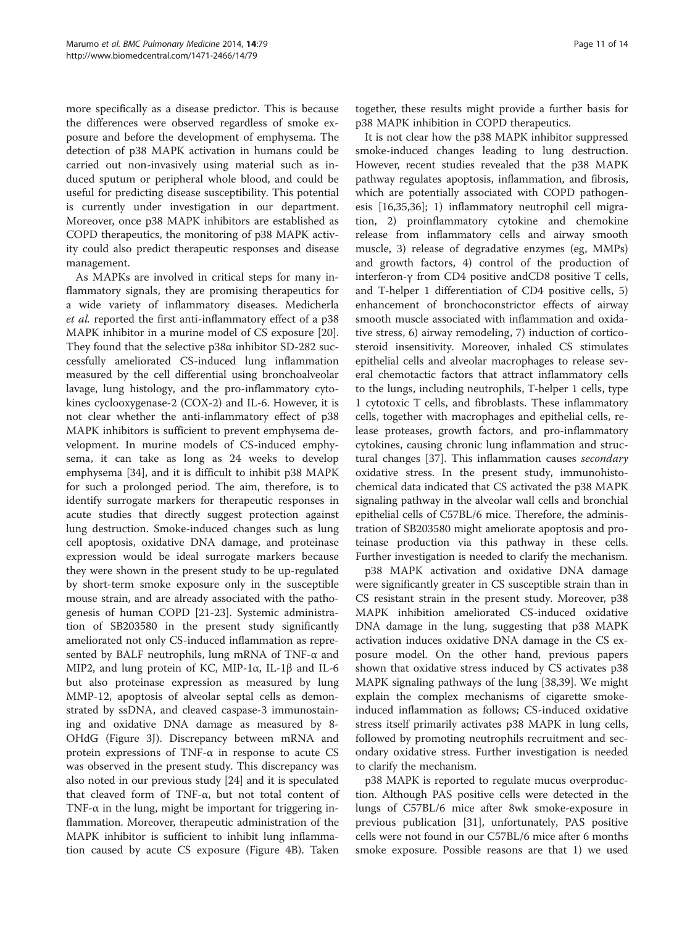more specifically as a disease predictor. This is because the differences were observed regardless of smoke exposure and before the development of emphysema. The detection of p38 MAPK activation in humans could be carried out non-invasively using material such as induced sputum or peripheral whole blood, and could be useful for predicting disease susceptibility. This potential is currently under investigation in our department. Moreover, once p38 MAPK inhibitors are established as COPD therapeutics, the monitoring of p38 MAPK activity could also predict therapeutic responses and disease management.

As MAPKs are involved in critical steps for many inflammatory signals, they are promising therapeutics for a wide variety of inflammatory diseases. Medicherla et al. reported the first anti-inflammatory effect of a p38 MAPK inhibitor in a murine model of CS exposure [\[20](#page-12-0)]. They found that the selective p38α inhibitor SD-282 successfully ameliorated CS-induced lung inflammation measured by the cell differential using bronchoalveolar lavage, lung histology, and the pro-inflammatory cytokines cyclooxygenase-2 (COX-2) and IL-6. However, it is not clear whether the anti-inflammatory effect of p38 MAPK inhibitors is sufficient to prevent emphysema development. In murine models of CS-induced emphysema, it can take as long as 24 weeks to develop emphysema [[34](#page-12-0)], and it is difficult to inhibit p38 MAPK for such a prolonged period. The aim, therefore, is to identify surrogate markers for therapeutic responses in acute studies that directly suggest protection against lung destruction. Smoke-induced changes such as lung cell apoptosis, oxidative DNA damage, and proteinase expression would be ideal surrogate markers because they were shown in the present study to be up-regulated by short-term smoke exposure only in the susceptible mouse strain, and are already associated with the pathogenesis of human COPD [\[21](#page-12-0)-[23\]](#page-12-0). Systemic administration of SB203580 in the present study significantly ameliorated not only CS-induced inflammation as represented by BALF neutrophils, lung mRNA of  $TNF-\alpha$  and MIP2, and lung protein of KC, MIP-1α, IL-1β and IL-6 but also proteinase expression as measured by lung MMP-12, apoptosis of alveolar septal cells as demonstrated by ssDNA, and cleaved caspase-3 immunostaining and oxidative DNA damage as measured by 8- OHdG (Figure [3](#page-7-0)J). Discrepancy between mRNA and protein expressions of TNF-α in response to acute CS was observed in the present study. This discrepancy was also noted in our previous study [[24](#page-12-0)] and it is speculated that cleaved form of TNF-α, but not total content of TNF- $\alpha$  in the lung, might be important for triggering inflammation. Moreover, therapeutic administration of the MAPK inhibitor is sufficient to inhibit lung inflammation caused by acute CS exposure (Figure [4B](#page-7-0)). Taken

together, these results might provide a further basis for p38 MAPK inhibition in COPD therapeutics.

It is not clear how the p38 MAPK inhibitor suppressed smoke-induced changes leading to lung destruction. However, recent studies revealed that the p38 MAPK pathway regulates apoptosis, inflammation, and fibrosis, which are potentially associated with COPD pathogenesis [\[16,35](#page-12-0)[,36](#page-13-0)]; 1) inflammatory neutrophil cell migration, 2) proinflammatory cytokine and chemokine release from inflammatory cells and airway smooth muscle, 3) release of degradative enzymes (eg, MMPs) and growth factors, 4) control of the production of interferon-γ from CD4 positive andCD8 positive T cells, and T-helper 1 differentiation of CD4 positive cells, 5) enhancement of bronchoconstrictor effects of airway smooth muscle associated with inflammation and oxidative stress, 6) airway remodeling, 7) induction of corticosteroid insensitivity. Moreover, inhaled CS stimulates epithelial cells and alveolar macrophages to release several chemotactic factors that attract inflammatory cells to the lungs, including neutrophils, T-helper 1 cells, type 1 cytotoxic T cells, and fibroblasts. These inflammatory cells, together with macrophages and epithelial cells, release proteases, growth factors, and pro-inflammatory cytokines, causing chronic lung inflammation and structural changes [[37\]](#page-13-0). This inflammation causes secondary oxidative stress. In the present study, immunohistochemical data indicated that CS activated the p38 MAPK signaling pathway in the alveolar wall cells and bronchial epithelial cells of C57BL/6 mice. Therefore, the administration of SB203580 might ameliorate apoptosis and proteinase production via this pathway in these cells. Further investigation is needed to clarify the mechanism.

p38 MAPK activation and oxidative DNA damage were significantly greater in CS susceptible strain than in CS resistant strain in the present study. Moreover, p38 MAPK inhibition ameliorated CS-induced oxidative DNA damage in the lung, suggesting that p38 MAPK activation induces oxidative DNA damage in the CS exposure model. On the other hand, previous papers shown that oxidative stress induced by CS activates p38 MAPK signaling pathways of the lung [\[38,39\]](#page-13-0). We might explain the complex mechanisms of cigarette smokeinduced inflammation as follows; CS-induced oxidative stress itself primarily activates p38 MAPK in lung cells, followed by promoting neutrophils recruitment and secondary oxidative stress. Further investigation is needed to clarify the mechanism.

p38 MAPK is reported to regulate mucus overproduction. Although PAS positive cells were detected in the lungs of C57BL/6 mice after 8wk smoke-exposure in previous publication [\[31\]](#page-12-0), unfortunately, PAS positive cells were not found in our C57BL/6 mice after 6 months smoke exposure. Possible reasons are that 1) we used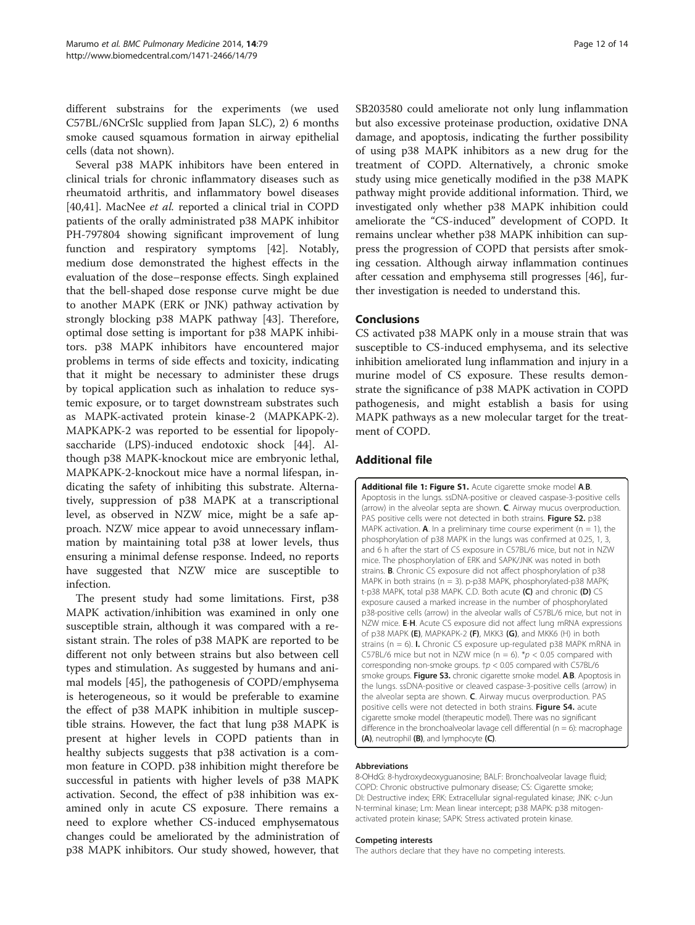<span id="page-11-0"></span>different substrains for the experiments (we used C57BL/6NCrSlc supplied from Japan SLC), 2) 6 months smoke caused squamous formation in airway epithelial cells (data not shown).

Several p38 MAPK inhibitors have been entered in clinical trials for chronic inflammatory diseases such as rheumatoid arthritis, and inflammatory bowel diseases [[40,41\]](#page-13-0). MacNee et al. reported a clinical trial in COPD patients of the orally administrated p38 MAPK inhibitor PH-797804 showing significant improvement of lung function and respiratory symptoms [[42\]](#page-13-0). Notably, medium dose demonstrated the highest effects in the evaluation of the dose–response effects. Singh explained that the bell-shaped dose response curve might be due to another MAPK (ERK or JNK) pathway activation by strongly blocking p38 MAPK pathway [\[43](#page-13-0)]. Therefore, optimal dose setting is important for p38 MAPK inhibitors. p38 MAPK inhibitors have encountered major problems in terms of side effects and toxicity, indicating that it might be necessary to administer these drugs by topical application such as inhalation to reduce systemic exposure, or to target downstream substrates such as MAPK-activated protein kinase-2 (MAPKAPK-2). MAPKAPK-2 was reported to be essential for lipopolysaccharide (LPS)-induced endotoxic shock [[44\]](#page-13-0). Although p38 MAPK-knockout mice are embryonic lethal, MAPKAPK-2-knockout mice have a normal lifespan, indicating the safety of inhibiting this substrate. Alternatively, suppression of p38 MAPK at a transcriptional level, as observed in NZW mice, might be a safe approach. NZW mice appear to avoid unnecessary inflammation by maintaining total p38 at lower levels, thus ensuring a minimal defense response. Indeed, no reports have suggested that NZW mice are susceptible to infection.

The present study had some limitations. First, p38 MAPK activation/inhibition was examined in only one susceptible strain, although it was compared with a resistant strain. The roles of p38 MAPK are reported to be different not only between strains but also between cell types and stimulation. As suggested by humans and animal models [[45](#page-13-0)], the pathogenesis of COPD/emphysema is heterogeneous, so it would be preferable to examine the effect of p38 MAPK inhibition in multiple susceptible strains. However, the fact that lung p38 MAPK is present at higher levels in COPD patients than in healthy subjects suggests that p38 activation is a common feature in COPD. p38 inhibition might therefore be successful in patients with higher levels of p38 MAPK activation. Second, the effect of p38 inhibition was examined only in acute CS exposure. There remains a need to explore whether CS-induced emphysematous changes could be ameliorated by the administration of p38 MAPK inhibitors. Our study showed, however, that

SB203580 could ameliorate not only lung inflammation but also excessive proteinase production, oxidative DNA damage, and apoptosis, indicating the further possibility of using p38 MAPK inhibitors as a new drug for the treatment of COPD. Alternatively, a chronic smoke study using mice genetically modified in the p38 MAPK pathway might provide additional information. Third, we investigated only whether p38 MAPK inhibition could ameliorate the "CS-induced" development of COPD. It remains unclear whether p38 MAPK inhibition can suppress the progression of COPD that persists after smoking cessation. Although airway inflammation continues after cessation and emphysema still progresses [[46\]](#page-13-0), further investigation is needed to understand this.

# Conclusions

CS activated p38 MAPK only in a mouse strain that was susceptible to CS-induced emphysema, and its selective inhibition ameliorated lung inflammation and injury in a murine model of CS exposure. These results demonstrate the significance of p38 MAPK activation in COPD pathogenesis, and might establish a basis for using MAPK pathways as a new molecular target for the treatment of COPD.

# Additional file

[Additional file 1: Figure S1.](http://www.biomedcentral.com/content/supplementary/1471-2466-14-79-S1.pdf) Acute cigarette smoke model A.B. Apoptosis in the lungs. ssDNA-positive or cleaved caspase-3-positive cells (arrow) in the alveolar septa are shown. C. Airway mucus overproduction. PAS positive cells were not detected in both strains. Figure S2. p38 MAPK activation. **A**. In a preliminary time course experiment ( $n = 1$ ), the phosphorylation of p38 MAPK in the lungs was confirmed at 0.25, 1, 3, and 6 h after the start of CS exposure in C57BL/6 mice, but not in NZW mice. The phosphorylation of ERK and SAPK/JNK was noted in both strains. B. Chronic CS exposure did not affect phosphorylation of p38 MAPK in both strains (n = 3). p-p38 MAPK, phosphorylated-p38 MAPK; t-p38 MAPK, total p38 MAPK. C.D. Both acute (C) and chronic (D) CS exposure caused a marked increase in the number of phosphorylated p38-positive cells (arrow) in the alveolar walls of C57BL/6 mice, but not in NZW mice. **E-H**. Acute CS exposure did not affect lung mRNA expressions of p38 MAPK (E), MAPKAPK-2 (F), MKK3 (G), and MKK6 (H) in both strains ( $n = 6$ ). I. Chronic CS exposure up-regulated p38 MAPK mRNA in C57BL/6 mice but not in NZW mice (n = 6).  $p < 0.05$  compared with corresponding non-smoke groups.  $tp < 0.05$  compared with C57BL/6 smoke groups. Figure S3. chronic cigarette smoke model. A.B. Apoptosis in the lungs. ssDNA-positive or cleaved caspase-3-positive cells (arrow) in the alveolar septa are shown. C. Airway mucus overproduction. PAS positive cells were not detected in both strains. Figure S4. acute cigarette smoke model (therapeutic model). There was no significant difference in the bronchoalveolar lavage cell differential ( $n = 6$ ): macrophage (A), neutrophil (B), and lymphocyte (C).

#### Abbreviations

8-OHdG: 8-hydroxydeoxyguanosine; BALF: Bronchoalveolar lavage fluid; COPD: Chronic obstructive pulmonary disease; CS: Cigarette smoke; DI: Destructive index; ERK: Extracellular signal-regulated kinase; JNK: c-Jun N-terminal kinase; Lm: Mean linear intercept; p38 MAPK: p38 mitogenactivated protein kinase; SAPK: Stress activated protein kinase.

#### Competing interests

The authors declare that they have no competing interests.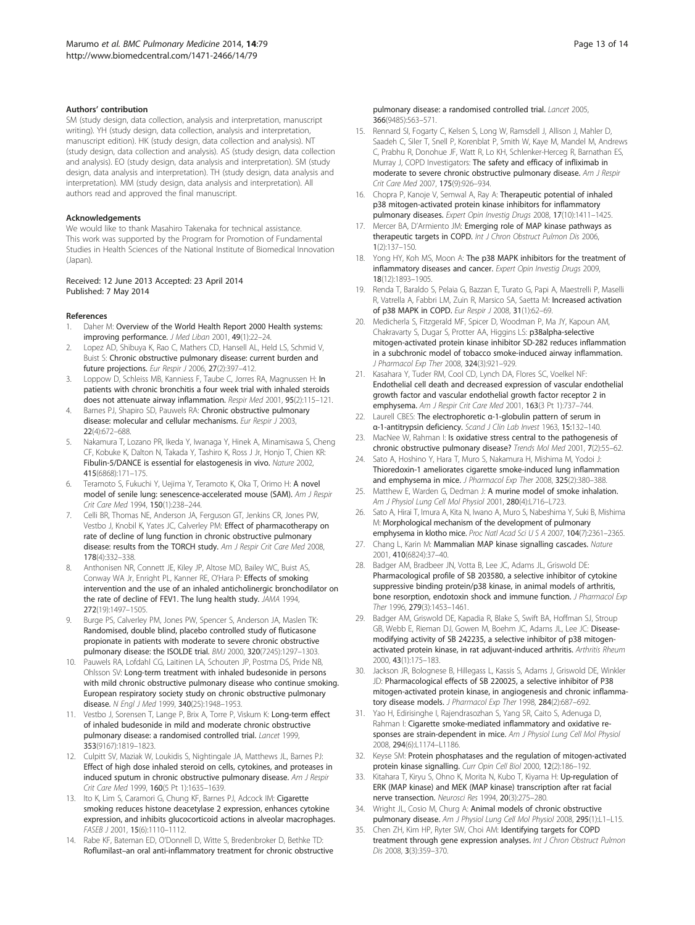#### <span id="page-12-0"></span>Authors' contribution

SM (study design, data collection, analysis and interpretation, manuscript writing). YH (study design, data collection, analysis and interpretation, manuscript edition). HK (study design, data collection and analysis). NT (study design, data collection and analysis). AS (study design, data collection and analysis). EO (study design, data analysis and interpretation). SM (study design, data analysis and interpretation). TH (study design, data analysis and interpretation). MM (study design, data analysis and interpretation). All authors read and approved the final manuscript.

#### Acknowledgements

We would like to thank Masahiro Takenaka for technical assistance. This work was supported by the Program for Promotion of Fundamental Studies in Health Sciences of the National Institute of Biomedical Innovation (Japan).

#### Received: 12 June 2013 Accepted: 23 April 2014 Published: 7 May 2014

#### References

- Daher M: Overview of the World Health Report 2000 Health systems: improving performance. J Med Liban 2001, 49(1):22–24.
- 2. Lopez AD, Shibuya K, Rao C, Mathers CD, Hansell AL, Held LS, Schmid V, Buist S: Chronic obstructive pulmonary disease: current burden and future projections. Eur Respir J 2006, 27(2):397–412.
- Loppow D, Schleiss MB, Kanniess F, Taube C, Jorres RA, Magnussen H: In patients with chronic bronchitis a four week trial with inhaled steroids does not attenuate airway inflammation. Respir Med 2001, 95(2):115–121.
- 4. Barnes PJ, Shapiro SD, Pauwels RA: Chronic obstructive pulmonary disease: molecular and cellular mechanisms. Eur Respir J 2003, 22(4):672–688.
- 5. Nakamura T, Lozano PR, Ikeda Y, Iwanaga Y, Hinek A, Minamisawa S, Cheng CF, Kobuke K, Dalton N, Takada Y, Tashiro K, Ross J Jr, Honjo T, Chien KR: Fibulin-5/DANCE is essential for elastogenesis in vivo. Nature 2002, 415(6868):171–175.
- 6. Teramoto S, Fukuchi Y, Uejima Y, Teramoto K, Oka T, Orimo H: A novel model of senile lung: senescence-accelerated mouse (SAM). Am J Respir Crit Care Med 1994, 150(1):238–244.
- 7. Celli BR, Thomas NE, Anderson JA, Ferguson GT, Jenkins CR, Jones PW, Vestbo J, Knobil K, Yates JC, Calverley PM: Effect of pharmacotherapy on rate of decline of lung function in chronic obstructive pulmonary disease: results from the TORCH study. Am J Respir Crit Care Med 2008, 178(4):332–338.
- 8. Anthonisen NR, Connett JE, Kiley JP, Altose MD, Bailey WC, Buist AS, Conway WA Jr, Enright PL, Kanner RE, O'Hara P: Effects of smoking intervention and the use of an inhaled anticholinergic bronchodilator on the rate of decline of FEV1. The lung health study. JAMA 1994, 272(19):1497–1505.
- 9. Burge PS, Calverley PM, Jones PW, Spencer S, Anderson JA, Maslen TK: Randomised, double blind, placebo controlled study of fluticasone propionate in patients with moderate to severe chronic obstructive pulmonary disease: the ISOLDE trial. BMJ 2000, 320(7245):1297–1303.
- 10. Pauwels RA, Lofdahl CG, Laitinen LA, Schouten JP, Postma DS, Pride NB, Ohlsson SV: Long-term treatment with inhaled budesonide in persons with mild chronic obstructive pulmonary disease who continue smoking. European respiratory society study on chronic obstructive pulmonary disease. N Engl J Med 1999, 340(25):1948–1953.
- 11. Vestbo J, Sorensen T, Lange P, Brix A, Torre P, Viskum K: Long-term effect of inhaled budesonide in mild and moderate chronic obstructive pulmonary disease: a randomised controlled trial. Lancet 1999, 353(9167):1819–1823.
- 12. Culpitt SV, Maziak W, Loukidis S, Nightingale JA, Matthews JL, Barnes PJ: Effect of high dose inhaled steroid on cells, cytokines, and proteases in induced sputum in chronic obstructive pulmonary disease. Am J Respir Crit Care Med 1999, 160(5 Pt 1):1635–1639.
- 13. Ito K, Lim S, Caramori G, Chung KF, Barnes PJ, Adcock IM: Cigarette smoking reduces histone deacetylase 2 expression, enhances cytokine expression, and inhibits glucocorticoid actions in alveolar macrophages. FASEB J 2001, 15(6):1110–1112.
- 14. Rabe KF, Bateman ED, O'Donnell D, Witte S, Bredenbroker D, Bethke TD: Roflumilast–an oral anti-inflammatory treatment for chronic obstructive

pulmonary disease: a randomised controlled trial. Lancet 2005, 366(9485):563–571.

- 15. Rennard SI, Fogarty C, Kelsen S, Long W, Ramsdell J, Allison J, Mahler D, Saadeh C, Siler T, Snell P, Korenblat P, Smith W, Kaye M, Mandel M, Andrews C, Prabhu R, Donohue JF, Watt R, Lo KH, Schlenker-Herceg R, Barnathan ES, Murray J, COPD Investigators: The safety and efficacy of infliximab in moderate to severe chronic obstructive pulmonary disease. Am J Respir Crit Care Med 2007, 175(9):926–934.
- 16. Chopra P, Kanoje V, Semwal A, Ray A: Therapeutic potential of inhaled p38 mitogen-activated protein kinase inhibitors for inflammatory pulmonary diseases. Expert Opin Investig Drugs 2008, 17(10):1411–1425.
- 17. Mercer BA, D'Armiento JM: Emerging role of MAP kinase pathways as therapeutic targets in COPD. Int J Chron Obstruct Pulmon Dis 2006, 1(2):137–150.
- 18. Yong HY, Koh MS, Moon A: The p38 MAPK inhibitors for the treatment of inflammatory diseases and cancer. Expert Opin Investig Drugs 2009, 18(12):1893–1905.
- 19. Renda T, Baraldo S, Pelaia G, Bazzan E, Turato G, Papi A, Maestrelli P, Maselli R, Vatrella A, Fabbri LM, Zuin R, Marsico SA, Saetta M: Increased activation of p38 MAPK in COPD. Eur Respir J 2008, 31(1):62–69.
- 20. Medicherla S, Fitzgerald MF, Spicer D, Woodman P, Ma JY, Kapoun AM, Chakravarty S, Dugar S, Protter AA, Higgins LS: p38alpha-selective mitogen-activated protein kinase inhibitor SD-282 reduces inflammation in a subchronic model of tobacco smoke-induced airway inflammation. J Pharmacol Exp Ther 2008, 324(3):921-929.
- 21. Kasahara Y, Tuder RM, Cool CD, Lynch DA, Flores SC, Voelkel NF: Endothelial cell death and decreased expression of vascular endothelial growth factor and vascular endothelial growth factor receptor 2 in emphysema. Am J Respir Crit Care Med 2001, 163(3 Pt 1):737-744.
- 22. Laurell CBES: The electrophoretic α-1-globulin pattern of serum in α-1-antitrypsin deficiency. Scand J Clin Lab Invest 1963, 15:132–140.
- 23. MacNee W, Rahman I: Is oxidative stress central to the pathogenesis of chronic obstructive pulmonary disease? Trends Mol Med 2001, 7(2):55–62.
- 24. Sato A, Hoshino Y, Hara T, Muro S, Nakamura H, Mishima M, Yodoi J: Thioredoxin-1 ameliorates cigarette smoke-induced lung inflammation and emphysema in mice. J Pharmacol Exp Ther 2008, 325(2):380-388.
- 25. Matthew E, Warden G, Dedman J: A murine model of smoke inhalation. Am J Physiol Lung Cell Mol Physiol 2001, 280(4):L716–L723.
- 26. Sato A, Hirai T, Imura A, Kita N, Iwano A, Muro S, Nabeshima Y, Suki B, Mishima M: Morphological mechanism of the development of pulmonary emphysema in klotho mice. Proc Natl Acad Sci U S A 2007, 104(7):2361-2365.
- 27. Chang L, Karin M: Mammalian MAP kinase signalling cascades. Nature 2001, 410(6824):37–40.
- 28. Badger AM, Bradbeer JN, Votta B, Lee JC, Adams JL, Griswold DE: Pharmacological profile of SB 203580, a selective inhibitor of cytokine suppressive binding protein/p38 kinase, in animal models of arthritis, bone resorption, endotoxin shock and immune function. J Pharmacol Exp Ther 1996, 279(3):1453–1461.
- 29. Badger AM, Griswold DE, Kapadia R, Blake S, Swift BA, Hoffman SJ, Stroup GB, Webb E, Rieman DJ, Gowen M, Boehm JC, Adams JL, Lee JC: Diseasemodifying activity of SB 242235, a selective inhibitor of p38 mitogenactivated protein kinase, in rat adjuvant-induced arthritis. Arthritis Rheum 2000, 43(1):175–183.
- 30. Jackson JR, Bolognese B, Hillegass L, Kassis S, Adams J, Griswold DE, Winkler JD: Pharmacological effects of SB 220025, a selective inhibitor of P38 mitogen-activated protein kinase, in angiogenesis and chronic inflammatory disease models. J Pharmacol Exp Ther 1998, 284(2):687-692.
- 31. Yao H, Edirisinghe I, Rajendrasozhan S, Yang SR, Caito S, Adenuga D, Rahman I: Cigarette smoke-mediated inflammatory and oxidative responses are strain-dependent in mice. Am J Physiol Lung Cell Mol Physiol 2008, 294(6):L1174–L1186.
- 32. Keyse SM: Protein phosphatases and the regulation of mitogen-activated protein kinase signalling. Curr Opin Cell Biol 2000, 12(2):186-192.
- 33. Kitahara T, Kiryu S, Ohno K, Morita N, Kubo T, Kiyama H: Up-regulation of ERK (MAP kinase) and MEK (MAP kinase) transcription after rat facial nerve transection. Neurosci Res 1994, 20(3):275–280.
- 34. Wright JL, Cosio M, Churg A: Animal models of chronic obstructive pulmonary disease. Am J Physiol Lung Cell Mol Physiol 2008, 295(1):L1-L15.
- 35. Chen ZH, Kim HP, Ryter SW, Choi AM: Identifying targets for COPD treatment through gene expression analyses. Int J Chron Obstruct Pulmon Dis 2008, 3(3):359–370.